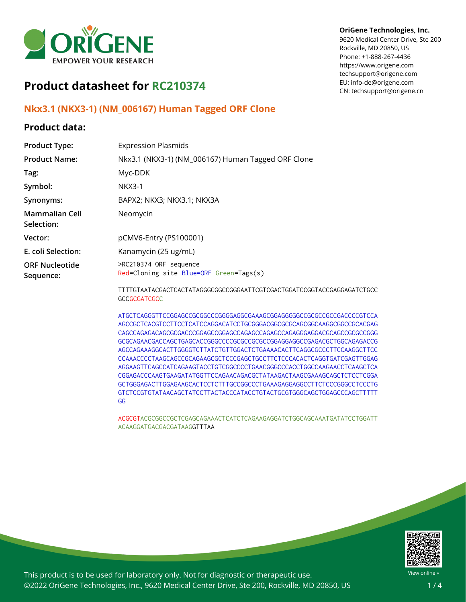

# **Product datasheet for RC210374**

# **Nkx3.1 (NKX3-1) (NM\_006167) Human Tagged ORF Clone**

## **Product data:**

### **Product Type:** Expression Plasmids **Product Name:** Nkx3.1 (NKX3-1) (NM\_006167) Human Tagged ORF Clone **Tag:** Myc-DDK **Symbol:** NKX3-1 **Synonyms:** BAPX2; NKX3; NKX3.1; NKX3A **Mammalian Cell Selection:** Neomycin **Vector:** pCMV6-Entry (PS100001) **E. coli Selection:** Kanamycin (25 ug/mL) **ORF Nucleotide Sequence:** >RC210374 ORF sequence Red=Cloning site Blue=ORF Green=Tags(s) TTTTGTAATACGACTCACTATAGGGCGGCCGGGAATTCGTCGACTGGATCCGGTACCGAGGAGATCTGCC **GCCGCGATCGCC**

ATGCTCAGGGTTCCGGAGCCGCGGCCCGGGGAGGCGAAAGCGGAGGGGGCCGCGCCGCCGACCCCGTCCA AGCCGCTCACGTCCTTCCTCATCCAGGACATCCTGCGGGACGGCGCGCAGCGGCAAGGCGGCCGCACGAG CAGCCAGAGACAGCGCGACCCGGAGCCGGAGCCAGAGCCAGAGCCAGAGGGAGGACGCAGCCGCGCCGGG GCGCAGAACGACCAGCTGAGCACCGGGCCCCGCGCCGCGCCGGAGGAGGCCGAGACGCTGGCAGAGACCG AGCCAGAAAGGCACTTGGGGTCTTATCTGTTGGACTCTGAAAACACTTCAGGCGCCCTTCCAAGGCTTCC CCAAACCCCTAAGCAGCCGCAGAAGCGCTCCCGAGCTGCCTTCTCCCACACTCAGGTGATCGAGTTGGAG AGGAAGTTCAGCCATCAGAAGTACCTGTCGGCCCCTGAACGGGCCCACCTGGCCAAGAACCTCAAGCTCA CGGAGACCCAAGTGAAGATATGGTTCCAGAACAGACGCTATAAGACTAAGCGAAAGCAGCTCTCCTCGGA GCTGGGAGACTTGGAGAAGCACTCCTCTTTGCCGGCCCTGAAAGAGGAGGCCTTCTCCCGGGCCTCCCTG GTCTCCGTGTATAACAGCTATCCTTACTACCCATACCTGTACTGCGTGGGCAGCTGGAGCCCAGCTTTTT GG

ACGCGTACGCGGCCGCTCGAGCAGAAACTCATCTCAGAAGAGGATCTGGCAGCAAATGATATCCTGGATT ACAAGGATGACGACGATAAGGTTTAA



**OriGene Technologies, Inc.** 9620 Medical Center Drive, Ste 200

CN: techsupport@origene.cn

Rockville, MD 20850, US Phone: +1-888-267-4436 https://www.origene.com



This product is to be used for laboratory only. Not for diagnostic or therapeutic use. ©2022 OriGene Technologies, Inc., 9620 Medical Center Drive, Ste 200, Rockville, MD 20850, US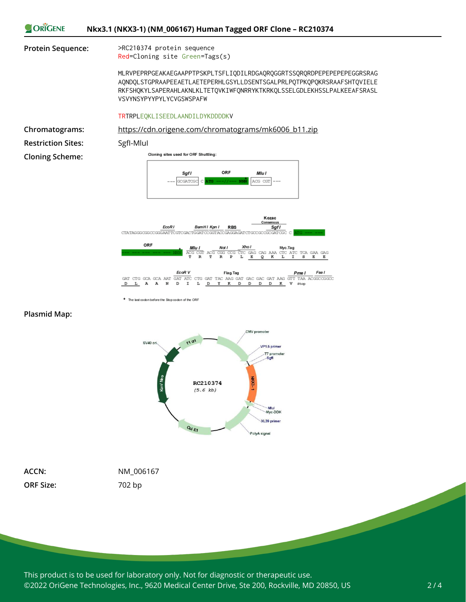



The last codon before the Stop codon of the ORF

#### **Plasmid Map:**



**ORF Size:** 702 bp

**ACCN:** NM\_006167

This product is to be used for laboratory only. Not for diagnostic or therapeutic use. ©2022 OriGene Technologies, Inc., 9620 Medical Center Drive, Ste 200, Rockville, MD 20850, US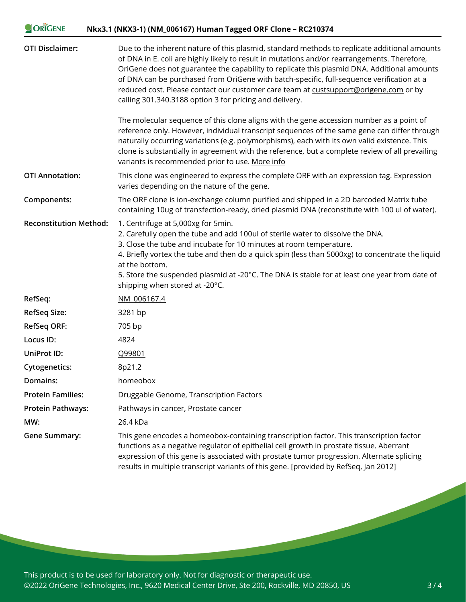| ORIGENE<br>Nkx3.1 (NKX3-1) (NM_006167) Human Tagged ORF Clone - RC210374 |                                                                                                                                                                                                                                                                                                                                                                                                                                                                                                                                             |
|--------------------------------------------------------------------------|---------------------------------------------------------------------------------------------------------------------------------------------------------------------------------------------------------------------------------------------------------------------------------------------------------------------------------------------------------------------------------------------------------------------------------------------------------------------------------------------------------------------------------------------|
| <b>OTI Disclaimer:</b>                                                   | Due to the inherent nature of this plasmid, standard methods to replicate additional amounts<br>of DNA in E. coli are highly likely to result in mutations and/or rearrangements. Therefore,<br>OriGene does not guarantee the capability to replicate this plasmid DNA. Additional amounts<br>of DNA can be purchased from OriGene with batch-specific, full-sequence verification at a<br>reduced cost. Please contact our customer care team at custsupport@origene.com or by<br>calling 301.340.3188 option 3 for pricing and delivery. |
|                                                                          | The molecular sequence of this clone aligns with the gene accession number as a point of<br>reference only. However, individual transcript sequences of the same gene can differ through<br>naturally occurring variations (e.g. polymorphisms), each with its own valid existence. This<br>clone is substantially in agreement with the reference, but a complete review of all prevailing<br>variants is recommended prior to use. More info                                                                                              |
| <b>OTI Annotation:</b>                                                   | This clone was engineered to express the complete ORF with an expression tag. Expression<br>varies depending on the nature of the gene.                                                                                                                                                                                                                                                                                                                                                                                                     |
| Components:                                                              | The ORF clone is ion-exchange column purified and shipped in a 2D barcoded Matrix tube<br>containing 10ug of transfection-ready, dried plasmid DNA (reconstitute with 100 ul of water).                                                                                                                                                                                                                                                                                                                                                     |
| <b>Reconstitution Method:</b>                                            | 1. Centrifuge at 5,000xg for 5min.<br>2. Carefully open the tube and add 100ul of sterile water to dissolve the DNA.<br>3. Close the tube and incubate for 10 minutes at room temperature.<br>4. Briefly vortex the tube and then do a quick spin (less than 5000xg) to concentrate the liquid<br>at the bottom.<br>5. Store the suspended plasmid at -20°C. The DNA is stable for at least one year from date of<br>shipping when stored at -20°C.                                                                                         |
| RefSeq:                                                                  | NM 006167.4                                                                                                                                                                                                                                                                                                                                                                                                                                                                                                                                 |
| RefSeq Size:                                                             | 3281 bp                                                                                                                                                                                                                                                                                                                                                                                                                                                                                                                                     |
| <b>RefSeq ORF:</b>                                                       | 705 bp                                                                                                                                                                                                                                                                                                                                                                                                                                                                                                                                      |
| Locus ID:                                                                | 4824                                                                                                                                                                                                                                                                                                                                                                                                                                                                                                                                        |
| <b>UniProt ID:</b>                                                       | Q99801                                                                                                                                                                                                                                                                                                                                                                                                                                                                                                                                      |
| <b>Cytogenetics:</b>                                                     | 8p21.2                                                                                                                                                                                                                                                                                                                                                                                                                                                                                                                                      |
| Domains:                                                                 | homeobox                                                                                                                                                                                                                                                                                                                                                                                                                                                                                                                                    |
| <b>Protein Families:</b>                                                 | Druggable Genome, Transcription Factors                                                                                                                                                                                                                                                                                                                                                                                                                                                                                                     |
| <b>Protein Pathways:</b>                                                 | Pathways in cancer, Prostate cancer                                                                                                                                                                                                                                                                                                                                                                                                                                                                                                         |
| MW:                                                                      | 26.4 kDa                                                                                                                                                                                                                                                                                                                                                                                                                                                                                                                                    |
| <b>Gene Summary:</b>                                                     | This gene encodes a homeobox-containing transcription factor. This transcription factor<br>functions as a negative regulator of epithelial cell growth in prostate tissue. Aberrant<br>expression of this gene is associated with prostate tumor progression. Alternate splicing<br>results in multiple transcript variants of this gene. [provided by RefSeq, Jan 2012]                                                                                                                                                                    |

This product is to be used for laboratory only. Not for diagnostic or therapeutic use. ©2022 OriGene Technologies, Inc., 9620 Medical Center Drive, Ste 200, Rockville, MD 20850, US